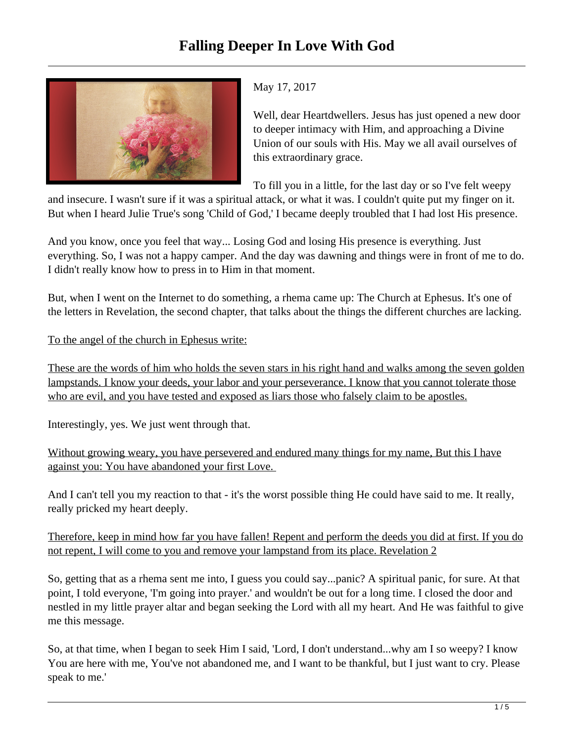

## May 17, 2017

Well, dear Heartdwellers. Jesus has just opened a new door to deeper intimacy with Him, and approaching a Divine Union of our souls with His. May we all avail ourselves of this extraordinary grace.

To fill you in a little, for the last day or so I've felt weepy

and insecure. I wasn't sure if it was a spiritual attack, or what it was. I couldn't quite put my finger on it. But when I heard Julie True's song 'Child of God,' I became deeply troubled that I had lost His presence.

And you know, once you feel that way... Losing God and losing His presence is everything. Just everything. So, I was not a happy camper. And the day was dawning and things were in front of me to do. I didn't really know how to press in to Him in that moment.

But, when I went on the Internet to do something, a rhema came up: The Church at Ephesus. It's one of the letters in Revelation, the second chapter, that talks about the things the different churches are lacking.

To the angel of the church in Ephesus write:

These are the words of him who holds the seven stars in his right hand and walks among the seven golden lampstands. I know your deeds, your labor and your perseverance. I know that you cannot tolerate those who are evil, and you have tested and exposed as liars those who falsely claim to be apostles.

Interestingly, yes. We just went through that.

Without growing weary, you have persevered and endured many things for my name, But this I have against you: You have abandoned your first Love.

And I can't tell you my reaction to that - it's the worst possible thing He could have said to me. It really, really pricked my heart deeply.

Therefore, keep in mind how far you have fallen! Repent and perform the deeds you did at first. If you do not repent, I will come to you and remove your lampstand from its place. Revelation 2

So, getting that as a rhema sent me into, I guess you could say...panic? A spiritual panic, for sure. At that point, I told everyone, 'I'm going into prayer.' and wouldn't be out for a long time. I closed the door and nestled in my little prayer altar and began seeking the Lord with all my heart. And He was faithful to give me this message.

So, at that time, when I began to seek Him I said, 'Lord, I don't understand...why am I so weepy? I know You are here with me, You've not abandoned me, and I want to be thankful, but I just want to cry. Please speak to me.'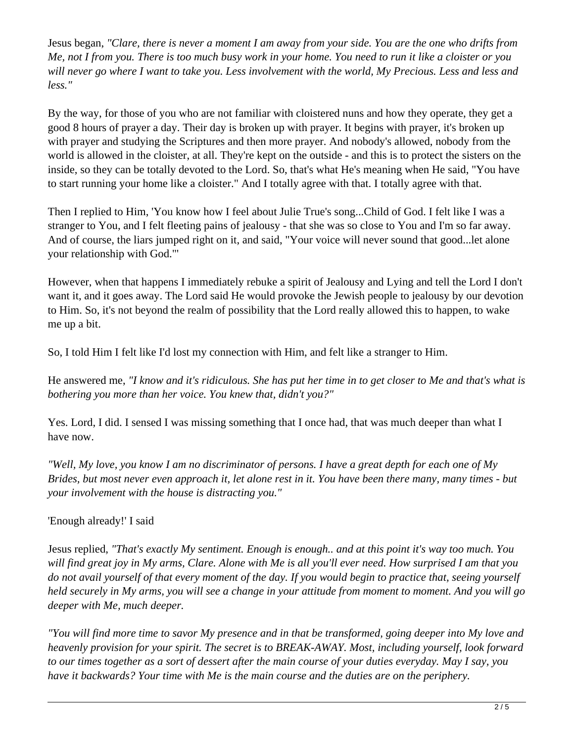Jesus began, *"Clare, there is never a moment I am away from your side. You are the one who drifts from Me, not I from you. There is too much busy work in your home. You need to run it like a cloister or you will never go where I want to take you. Less involvement with the world, My Precious. Less and less and less."*

By the way, for those of you who are not familiar with cloistered nuns and how they operate, they get a good 8 hours of prayer a day. Their day is broken up with prayer. It begins with prayer, it's broken up with prayer and studying the Scriptures and then more prayer. And nobody's allowed, nobody from the world is allowed in the cloister, at all. They're kept on the outside - and this is to protect the sisters on the inside, so they can be totally devoted to the Lord. So, that's what He's meaning when He said, "You have to start running your home like a cloister." And I totally agree with that. I totally agree with that.

Then I replied to Him, 'You know how I feel about Julie True's song...Child of God. I felt like I was a stranger to You, and I felt fleeting pains of jealousy - that she was so close to You and I'm so far away. And of course, the liars jumped right on it, and said, "Your voice will never sound that good...let alone your relationship with God."'

However, when that happens I immediately rebuke a spirit of Jealousy and Lying and tell the Lord I don't want it, and it goes away. The Lord said He would provoke the Jewish people to jealousy by our devotion to Him. So, it's not beyond the realm of possibility that the Lord really allowed this to happen, to wake me up a bit.

So, I told Him I felt like I'd lost my connection with Him, and felt like a stranger to Him.

He answered me, *"I know and it's ridiculous. She has put her time in to get closer to Me and that's what is bothering you more than her voice. You knew that, didn't you?"*

Yes. Lord, I did. I sensed I was missing something that I once had, that was much deeper than what I have now.

*"Well, My love, you know I am no discriminator of persons. I have a great depth for each one of My Brides, but most never even approach it, let alone rest in it. You have been there many, many times - but your involvement with the house is distracting you."* 

'Enough already!' I said

Jesus replied, *"That's exactly My sentiment. Enough is enough.. and at this point it's way too much. You will find great joy in My arms, Clare. Alone with Me is all you'll ever need. How surprised I am that you do not avail yourself of that every moment of the day. If you would begin to practice that, seeing yourself held securely in My arms, you will see a change in your attitude from moment to moment. And you will go deeper with Me, much deeper.*

*"You will find more time to savor My presence and in that be transformed, going deeper into My love and heavenly provision for your spirit. The secret is to BREAK-AWAY. Most, including yourself, look forward to our times together as a sort of dessert after the main course of your duties everyday. May I say, you have it backwards? Your time with Me is the main course and the duties are on the periphery.*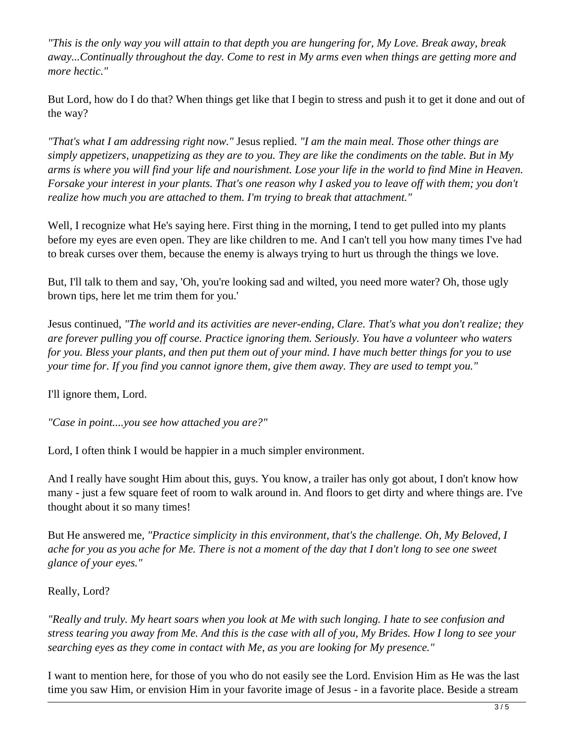*"This is the only way you will attain to that depth you are hungering for, My Love. Break away, break away...Continually throughout the day. Come to rest in My arms even when things are getting more and more hectic."*

But Lord, how do I do that? When things get like that I begin to stress and push it to get it done and out of the way?

*"That's what I am addressing right now."* Jesus replied. *"I am the main meal. Those other things are simply appetizers, unappetizing as they are to you. They are like the condiments on the table. But in My arms is where you will find your life and nourishment. Lose your life in the world to find Mine in Heaven. Forsake your interest in your plants. That's one reason why I asked you to leave off with them; you don't realize how much you are attached to them. I'm trying to break that attachment."*

Well, I recognize what He's saying here. First thing in the morning, I tend to get pulled into my plants before my eyes are even open. They are like children to me. And I can't tell you how many times I've had to break curses over them, because the enemy is always trying to hurt us through the things we love.

But, I'll talk to them and say, 'Oh, you're looking sad and wilted, you need more water? Oh, those ugly brown tips, here let me trim them for you.'

Jesus continued, *"The world and its activities are never-ending, Clare. That's what you don't realize; they are forever pulling you off course. Practice ignoring them. Seriously. You have a volunteer who waters for you. Bless your plants, and then put them out of your mind. I have much better things for you to use your time for. If you find you cannot ignore them, give them away. They are used to tempt you."*

I'll ignore them, Lord.

*"Case in point....you see how attached you are?"*

Lord, I often think I would be happier in a much simpler environment.

And I really have sought Him about this, guys. You know, a trailer has only got about, I don't know how many - just a few square feet of room to walk around in. And floors to get dirty and where things are. I've thought about it so many times!

But He answered me, *"Practice simplicity in this environment, that's the challenge. Oh, My Beloved, I ache for you as you ache for Me. There is not a moment of the day that I don't long to see one sweet glance of your eyes."*

## Really, Lord?

*"Really and truly. My heart soars when you look at Me with such longing. I hate to see confusion and stress tearing you away from Me. And this is the case with all of you, My Brides. How I long to see your searching eyes as they come in contact with Me, as you are looking for My presence."*

I want to mention here, for those of you who do not easily see the Lord. Envision Him as He was the last time you saw Him, or envision Him in your favorite image of Jesus - in a favorite place. Beside a stream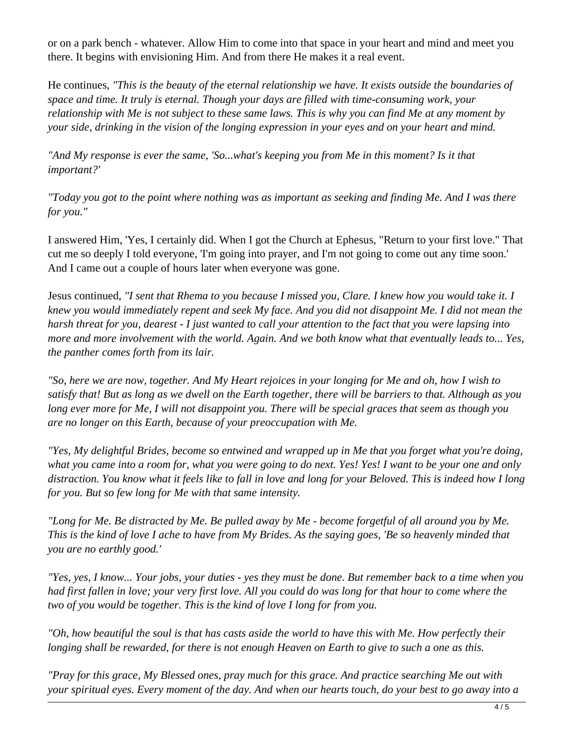or on a park bench - whatever. Allow Him to come into that space in your heart and mind and meet you there. It begins with envisioning Him. And from there He makes it a real event.

He continues, *"This is the beauty of the eternal relationship we have. It exists outside the boundaries of space and time. It truly is eternal. Though your days are filled with time-consuming work, your relationship with Me is not subject to these same laws. This is why you can find Me at any moment by your side, drinking in the vision of the longing expression in your eyes and on your heart and mind.* 

*"And My response is ever the same, 'So...what's keeping you from Me in this moment? Is it that important?'* 

*"Today you got to the point where nothing was as important as seeking and finding Me. And I was there for you."*

I answered Him, 'Yes, I certainly did. When I got the Church at Ephesus, "Return to your first love." That cut me so deeply I told everyone, 'I'm going into prayer, and I'm not going to come out any time soon.' And I came out a couple of hours later when everyone was gone.

Jesus continued, *"I sent that Rhema to you because I missed you, Clare. I knew how you would take it. I knew you would immediately repent and seek My face. And you did not disappoint Me. I did not mean the harsh threat for you, dearest - I just wanted to call your attention to the fact that you were lapsing into more and more involvement with the world. Again. And we both know what that eventually leads to... Yes, the panther comes forth from its lair.* 

*"So, here we are now, together. And My Heart rejoices in your longing for Me and oh, how I wish to satisfy that! But as long as we dwell on the Earth together, there will be barriers to that. Although as you long ever more for Me, I will not disappoint you. There will be special graces that seem as though you are no longer on this Earth, because of your preoccupation with Me.* 

*"Yes, My delightful Brides, become so entwined and wrapped up in Me that you forget what you're doing, what you came into a room for, what you were going to do next. Yes! Yes! I want to be your one and only distraction. You know what it feels like to fall in love and long for your Beloved. This is indeed how I long for you. But so few long for Me with that same intensity.* 

*"Long for Me. Be distracted by Me. Be pulled away by Me - become forgetful of all around you by Me. This is the kind of love I ache to have from My Brides. As the saying goes, 'Be so heavenly minded that you are no earthly good.'*

*"Yes, yes, I know... Your jobs, your duties - yes they must be done. But remember back to a time when you had first fallen in love; your very first love. All you could do was long for that hour to come where the two of you would be together. This is the kind of love I long for from you.* 

*"Oh, how beautiful the soul is that has casts aside the world to have this with Me. How perfectly their longing shall be rewarded, for there is not enough Heaven on Earth to give to such a one as this.* 

*"Pray for this grace, My Blessed ones, pray much for this grace. And practice searching Me out with your spiritual eyes. Every moment of the day. And when our hearts touch, do your best to go away into a*